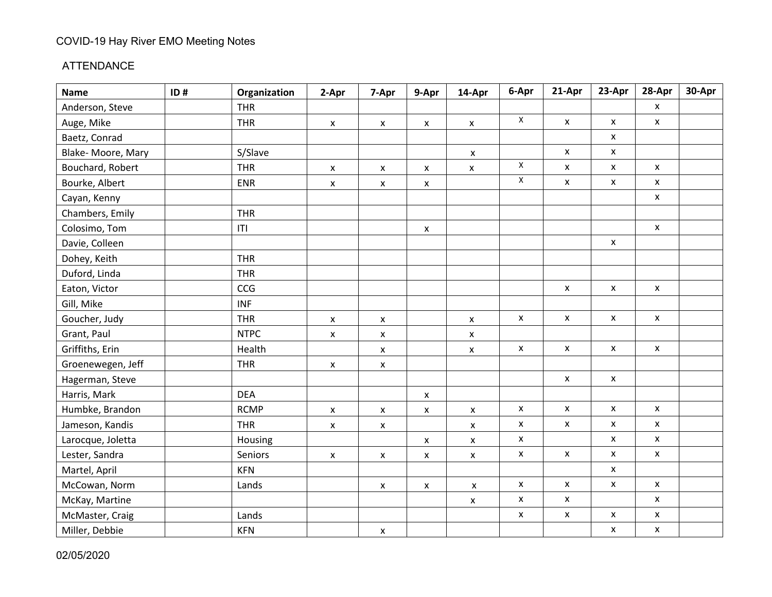#### ATTENDANCE

| <b>Name</b>       | ID# | Organization | 2-Apr              | 7-Apr                     | 9-Apr              | 14-Apr             | 6-Apr                     | 21-Apr             | 23-Apr             | 28-Apr             | 30-Apr |
|-------------------|-----|--------------|--------------------|---------------------------|--------------------|--------------------|---------------------------|--------------------|--------------------|--------------------|--------|
| Anderson, Steve   |     | <b>THR</b>   |                    |                           |                    |                    |                           |                    |                    | $\pmb{\chi}$       |        |
| Auge, Mike        |     | <b>THR</b>   | $\pmb{\mathsf{X}}$ | $\pmb{\mathsf{X}}$        | $\pmb{\mathsf{x}}$ | $\pmb{\mathsf{X}}$ | $\mathsf X$               | X                  | $\pmb{\mathsf{X}}$ | $\pmb{\mathsf{x}}$ |        |
| Baetz, Conrad     |     |              |                    |                           |                    |                    |                           |                    | X                  |                    |        |
| Blake-Moore, Mary |     | S/Slave      |                    |                           |                    | $\pmb{\mathsf{x}}$ |                           | $\pmb{\mathsf{x}}$ | x                  |                    |        |
| Bouchard, Robert  |     | <b>THR</b>   | $\pmb{\mathsf{x}}$ | X                         | X                  | $\pmb{\mathsf{x}}$ | $\pmb{\mathsf{X}}$        | X                  | X                  | $\pmb{\mathsf{X}}$ |        |
| Bourke, Albert    |     | <b>ENR</b>   | $\pmb{\mathsf{X}}$ | $\pmb{\times}$            | $\pmb{\mathsf{x}}$ |                    | $\mathsf X$               | X                  | x                  | $\pmb{\mathsf{X}}$ |        |
| Cayan, Kenny      |     |              |                    |                           |                    |                    |                           |                    |                    | $\pmb{\chi}$       |        |
| Chambers, Emily   |     | <b>THR</b>   |                    |                           |                    |                    |                           |                    |                    |                    |        |
| Colosimo, Tom     |     | T            |                    |                           | $\pmb{\mathsf{X}}$ |                    |                           |                    |                    | $\mathsf{x}$       |        |
| Davie, Colleen    |     |              |                    |                           |                    |                    |                           |                    | X                  |                    |        |
| Dohey, Keith      |     | <b>THR</b>   |                    |                           |                    |                    |                           |                    |                    |                    |        |
| Duford, Linda     |     | <b>THR</b>   |                    |                           |                    |                    |                           |                    |                    |                    |        |
| Eaton, Victor     |     | CCG          |                    |                           |                    |                    |                           | X                  | $\pmb{\mathsf{x}}$ | $\pmb{\mathsf{X}}$ |        |
| Gill, Mike        |     | <b>INF</b>   |                    |                           |                    |                    |                           |                    |                    |                    |        |
| Goucher, Judy     |     | <b>THR</b>   | X                  | $\pmb{\mathsf{x}}$        |                    | $\pmb{\mathsf{X}}$ | $\pmb{\mathsf{X}}$        | $\pmb{\mathsf{X}}$ | $\pmb{\mathsf{X}}$ | $\pmb{\mathsf{X}}$ |        |
| Grant, Paul       |     | <b>NTPC</b>  | $\pmb{\mathsf{X}}$ | $\pmb{\mathsf{X}}$        |                    | X                  |                           |                    |                    |                    |        |
| Griffiths, Erin   |     | Health       |                    | $\pmb{\mathsf{X}}$        |                    | X                  | $\pmb{\mathsf{X}}$        | $\pmb{\mathsf{X}}$ | $\pmb{\mathsf{x}}$ | $\pmb{\mathsf{X}}$ |        |
| Groenewegen, Jeff |     | <b>THR</b>   | $\pmb{\mathsf{X}}$ | $\boldsymbol{\mathsf{x}}$ |                    |                    |                           |                    |                    |                    |        |
| Hagerman, Steve   |     |              |                    |                           |                    |                    |                           | X                  | $\pmb{\mathsf{x}}$ |                    |        |
| Harris, Mark      |     | <b>DEA</b>   |                    |                           | $\pmb{\mathsf{X}}$ |                    |                           |                    |                    |                    |        |
| Humbke, Brandon   |     | <b>RCMP</b>  | $\pmb{\mathsf{X}}$ | $\pmb{\mathsf{X}}$        | $\pmb{\mathsf{x}}$ | X                  | $\boldsymbol{\mathsf{x}}$ | $\mathsf{x}$       | X                  | $\mathsf{x}$       |        |
| Jameson, Kandis   |     | <b>THR</b>   | $\pmb{\mathsf{X}}$ | $\pmb{\mathsf{X}}$        |                    | X                  | $\pmb{\mathsf{X}}$        | $\pmb{\mathsf{X}}$ | $\pmb{\mathsf{X}}$ | $\pmb{\mathsf{x}}$ |        |
| Larocque, Joletta |     | Housing      |                    |                           | $\pmb{\mathsf{x}}$ | $\pmb{\mathsf{x}}$ | $\pmb{\mathsf{X}}$        |                    | X                  | $\mathsf{x}$       |        |
| Lester, Sandra    |     | Seniors      | $\pmb{\mathsf{X}}$ | $\pmb{\mathsf{X}}$        | X                  | X                  | $\pmb{\mathsf{X}}$        | $\pmb{\mathsf{X}}$ | $\pmb{\mathsf{X}}$ | $\pmb{\mathsf{x}}$ |        |
| Martel, April     |     | <b>KFN</b>   |                    |                           |                    |                    |                           |                    | X                  |                    |        |
| McCowan, Norm     |     | Lands        |                    | $\pmb{\mathsf{X}}$        | X                  | $\pmb{\mathsf{X}}$ | $\boldsymbol{\mathsf{x}}$ | $\pmb{\mathsf{X}}$ | $\pmb{\mathsf{X}}$ | $\pmb{\mathsf{X}}$ |        |
| McKay, Martine    |     |              |                    |                           |                    | X                  | $\pmb{\mathsf{x}}$        | $\pmb{\mathsf{x}}$ |                    | $\pmb{\mathsf{x}}$ |        |
| McMaster, Craig   |     | Lands        |                    |                           |                    |                    | $\pmb{\mathsf{x}}$        | $\pmb{\mathsf{X}}$ | $\pmb{\mathsf{X}}$ | $\pmb{\mathsf{x}}$ |        |
| Miller, Debbie    |     | <b>KFN</b>   |                    | $\boldsymbol{\mathsf{x}}$ |                    |                    |                           |                    | $\pmb{\mathsf{X}}$ | $\pmb{\mathsf{X}}$ |        |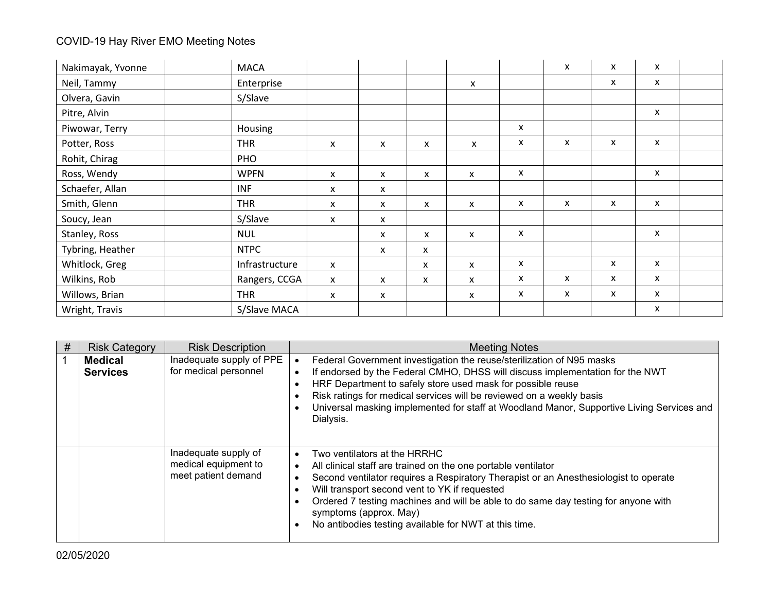| Nakimayak, Yvonne | <b>MACA</b>    |              |              |   |                           |   | X | X | X                         |  |
|-------------------|----------------|--------------|--------------|---|---------------------------|---|---|---|---------------------------|--|
| Neil, Tammy       | Enterprise     |              |              |   | $\boldsymbol{\mathsf{x}}$ |   |   | x | X                         |  |
| Olvera, Gavin     | S/Slave        |              |              |   |                           |   |   |   |                           |  |
| Pitre, Alvin      |                |              |              |   |                           |   |   |   | $\boldsymbol{\mathsf{x}}$ |  |
| Piwowar, Terry    | Housing        |              |              |   |                           | X |   |   |                           |  |
| Potter, Ross      | <b>THR</b>     | X            | $\mathsf{x}$ | X | $\mathsf{x}$              | x | X | X | X                         |  |
| Rohit, Chirag     | PHO            |              |              |   |                           |   |   |   |                           |  |
| Ross, Wendy       | <b>WPFN</b>    | X            | X            | X | X                         | X |   |   | X                         |  |
| Schaefer, Allan   | <b>INF</b>     | $\mathsf{x}$ | X            |   |                           |   |   |   |                           |  |
| Smith, Glenn      | <b>THR</b>     | x            | X            | X | $\mathsf{x}$              | X | X | x | $\boldsymbol{\mathsf{x}}$ |  |
| Soucy, Jean       | S/Slave        | X            | x            |   |                           |   |   |   |                           |  |
| Stanley, Ross     | <b>NUL</b>     |              | X            | X | $\boldsymbol{\mathsf{x}}$ | X |   |   | X                         |  |
| Tybring, Heather  | <b>NTPC</b>    |              | X            | x |                           |   |   |   |                           |  |
| Whitlock, Greg    | Infrastructure | $\mathsf{x}$ |              | x | X                         | X |   | X | $\mathsf{x}$              |  |
| Wilkins, Rob      | Rangers, CCGA  | X            | $\mathsf{x}$ | x | X                         | X | X | x | X                         |  |
| Willows, Brian    | <b>THR</b>     | X            | x            |   | X                         | x | X | x | $\boldsymbol{\mathsf{x}}$ |  |
| Wright, Travis    | S/Slave MACA   |              |              |   |                           |   |   |   | X                         |  |

| # | <b>Risk Category</b>              | <b>Risk Description</b>                                             | <b>Meeting Notes</b>                                                                                                                                                                                                                                                                                                                                                                                            |
|---|-----------------------------------|---------------------------------------------------------------------|-----------------------------------------------------------------------------------------------------------------------------------------------------------------------------------------------------------------------------------------------------------------------------------------------------------------------------------------------------------------------------------------------------------------|
|   | <b>Medical</b><br><b>Services</b> | Inadequate supply of PPE<br>for medical personnel                   | Federal Government investigation the reuse/sterilization of N95 masks<br>If endorsed by the Federal CMHO, DHSS will discuss implementation for the NWT<br>HRF Department to safely store used mask for possible reuse<br>Risk ratings for medical services will be reviewed on a weekly basis<br>Universal masking implemented for staff at Woodland Manor, Supportive Living Services and<br>Dialysis.         |
|   |                                   | Inadequate supply of<br>medical equipment to<br>meet patient demand | Two ventilators at the HRRHC<br>All clinical staff are trained on the one portable ventilator<br>Second ventilator requires a Respiratory Therapist or an Anesthesiologist to operate<br>Will transport second vent to YK if requested<br>Ordered 7 testing machines and will be able to do same day testing for anyone with<br>symptoms (approx. May)<br>No antibodies testing available for NWT at this time. |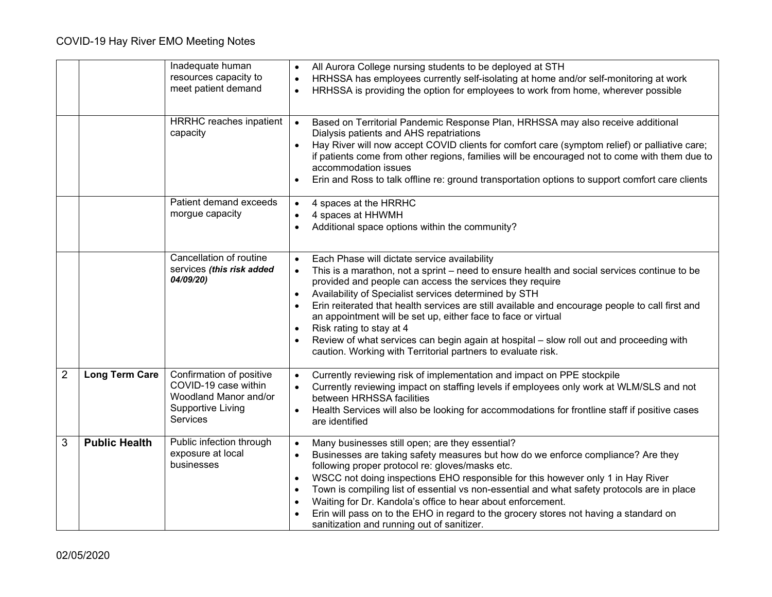|                |                       | Inadequate human<br>resources capacity to<br>meet patient demand                                                         | All Aurora College nursing students to be deployed at STH<br>$\bullet$<br>HRHSSA has employees currently self-isolating at home and/or self-monitoring at work<br>HRHSSA is providing the option for employees to work from home, wherever possible                                                                                                                                                                                                                                                                                                                                                                                                   |
|----------------|-----------------------|--------------------------------------------------------------------------------------------------------------------------|-------------------------------------------------------------------------------------------------------------------------------------------------------------------------------------------------------------------------------------------------------------------------------------------------------------------------------------------------------------------------------------------------------------------------------------------------------------------------------------------------------------------------------------------------------------------------------------------------------------------------------------------------------|
|                |                       | <b>HRRHC</b> reaches inpatient<br>capacity                                                                               | Based on Territorial Pandemic Response Plan, HRHSSA may also receive additional<br>$\bullet$<br>Dialysis patients and AHS repatriations<br>Hay River will now accept COVID clients for comfort care (symptom relief) or palliative care;<br>if patients come from other regions, families will be encouraged not to come with them due to<br>accommodation issues<br>Erin and Ross to talk offline re: ground transportation options to support comfort care clients                                                                                                                                                                                  |
|                |                       | Patient demand exceeds<br>morgue capacity                                                                                | 4 spaces at the HRRHC<br>$\bullet$<br>4 spaces at HHWMH<br>Additional space options within the community?                                                                                                                                                                                                                                                                                                                                                                                                                                                                                                                                             |
|                |                       | Cancellation of routine<br>services (this risk added<br>04/09/20)                                                        | Each Phase will dictate service availability<br>$\bullet$<br>This is a marathon, not a sprint – need to ensure health and social services continue to be<br>provided and people can access the services they require<br>Availability of Specialist services determined by STH<br>$\bullet$<br>Erin reiterated that health services are still available and encourage people to call first and<br>an appointment will be set up, either face to face or virtual<br>Risk rating to stay at 4<br>Review of what services can begin again at hospital - slow roll out and proceeding with<br>caution. Working with Territorial partners to evaluate risk. |
| $\overline{2}$ | <b>Long Term Care</b> | Confirmation of positive<br>COVID-19 case within<br>Woodland Manor and/or<br><b>Supportive Living</b><br><b>Services</b> | Currently reviewing risk of implementation and impact on PPE stockpile<br>$\bullet$<br>Currently reviewing impact on staffing levels if employees only work at WLM/SLS and not<br>between HRHSSA facilities<br>Health Services will also be looking for accommodations for frontline staff if positive cases<br>are identified                                                                                                                                                                                                                                                                                                                        |
| $\mathfrak{S}$ | <b>Public Health</b>  | Public infection through<br>exposure at local<br>businesses                                                              | Many businesses still open; are they essential?<br>Businesses are taking safety measures but how do we enforce compliance? Are they<br>following proper protocol re: gloves/masks etc.<br>WSCC not doing inspections EHO responsible for this however only 1 in Hay River<br>Town is compiling list of essential vs non-essential and what safety protocols are in place<br>$\bullet$<br>Waiting for Dr. Kandola's office to hear about enforcement.<br>Erin will pass on to the EHO in regard to the grocery stores not having a standard on<br>sanitization and running out of sanitizer.                                                           |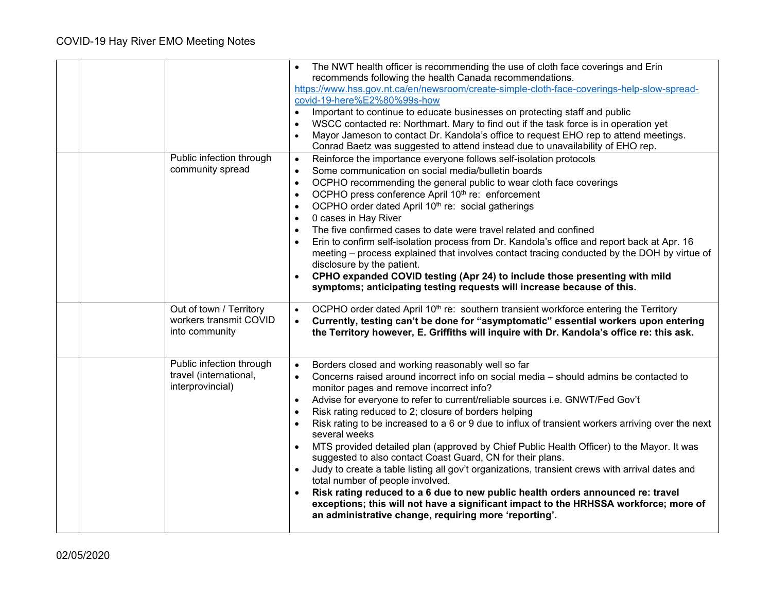|                                                                        | The NWT health officer is recommending the use of cloth face coverings and Erin<br>recommends following the health Canada recommendations.<br>https://www.hss.gov.nt.ca/en/newsroom/create-simple-cloth-face-coverings-help-slow-spread-<br>covid-19-here%E2%80%99s-how<br>Important to continue to educate businesses on protecting staff and public<br>$\bullet$<br>WSCC contacted re: Northmart. Mary to find out if the task force is in operation yet<br>Mayor Jameson to contact Dr. Kandola's office to request EHO rep to attend meetings.<br>Conrad Baetz was suggested to attend instead due to unavailability of EHO rep.                                                                                                                                                                                                                                                                                                                                                                                             |
|------------------------------------------------------------------------|----------------------------------------------------------------------------------------------------------------------------------------------------------------------------------------------------------------------------------------------------------------------------------------------------------------------------------------------------------------------------------------------------------------------------------------------------------------------------------------------------------------------------------------------------------------------------------------------------------------------------------------------------------------------------------------------------------------------------------------------------------------------------------------------------------------------------------------------------------------------------------------------------------------------------------------------------------------------------------------------------------------------------------|
| Public infection through<br>community spread                           | Reinforce the importance everyone follows self-isolation protocols<br>$\bullet$<br>Some communication on social media/bulletin boards<br>$\bullet$<br>OCPHO recommending the general public to wear cloth face coverings<br>$\bullet$<br>OCPHO press conference April 10 <sup>th</sup> re: enforcement<br>$\bullet$<br>OCPHO order dated April 10 <sup>th</sup> re: social gatherings<br>$\bullet$<br>0 cases in Hay River<br>$\bullet$<br>The five confirmed cases to date were travel related and confined<br>$\bullet$<br>Erin to confirm self-isolation process from Dr. Kandola's office and report back at Apr. 16<br>meeting - process explained that involves contact tracing conducted by the DOH by virtue of<br>disclosure by the patient.<br>CPHO expanded COVID testing (Apr 24) to include those presenting with mild<br>symptoms; anticipating testing requests will increase because of this.                                                                                                                    |
| Out of town / Territory<br>workers transmit COVID<br>into community    | OCPHO order dated April 10 <sup>th</sup> re: southern transient workforce entering the Territory<br>$\bullet$<br>Currently, testing can't be done for "asymptomatic" essential workers upon entering<br>$\bullet$<br>the Territory however, E. Griffiths will inquire with Dr. Kandola's office re: this ask.                                                                                                                                                                                                                                                                                                                                                                                                                                                                                                                                                                                                                                                                                                                    |
| Public infection through<br>travel (international,<br>interprovincial) | Borders closed and working reasonably well so far<br>$\bullet$<br>Concerns raised around incorrect info on social media - should admins be contacted to<br>$\bullet$<br>monitor pages and remove incorrect info?<br>Advise for everyone to refer to current/reliable sources i.e. GNWT/Fed Gov't<br>$\bullet$<br>Risk rating reduced to 2; closure of borders helping<br>Risk rating to be increased to a 6 or 9 due to influx of transient workers arriving over the next<br>several weeks<br>MTS provided detailed plan (approved by Chief Public Health Officer) to the Mayor. It was<br>suggested to also contact Coast Guard, CN for their plans.<br>Judy to create a table listing all gov't organizations, transient crews with arrival dates and<br>total number of people involved.<br>Risk rating reduced to a 6 due to new public health orders announced re: travel<br>exceptions; this will not have a significant impact to the HRHSSA workforce; more of<br>an administrative change, requiring more 'reporting'. |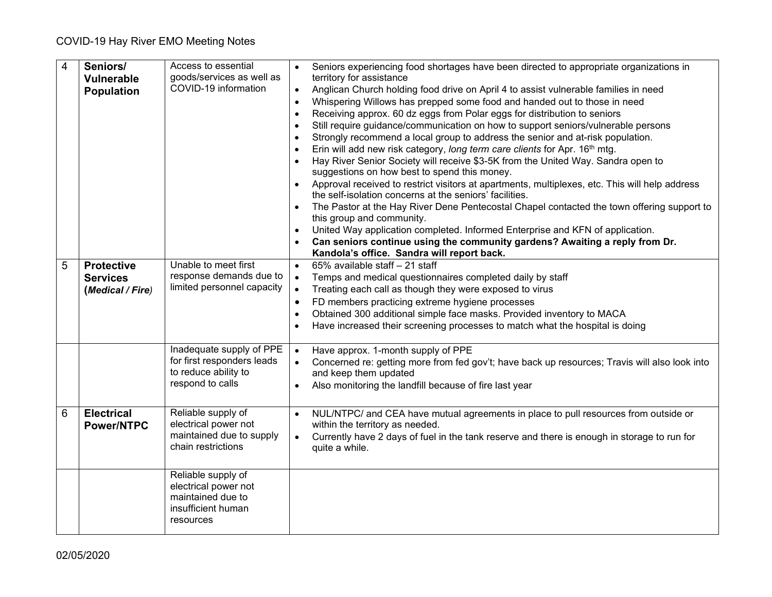| $\overline{4}$ | Seniors/<br>Vulnerable<br><b>Population</b>              | Access to essential<br>goods/services as well as<br>COVID-19 information                           | Seniors experiencing food shortages have been directed to appropriate organizations in<br>territory for assistance<br>Anglican Church holding food drive on April 4 to assist vulnerable families in need<br>$\bullet$<br>Whispering Willows has prepped some food and handed out to those in need<br>$\bullet$<br>Receiving approx. 60 dz eggs from Polar eggs for distribution to seniors<br>$\bullet$<br>Still require guidance/communication on how to support seniors/vulnerable persons<br>$\bullet$<br>Strongly recommend a local group to address the senior and at-risk population.<br>Erin will add new risk category, long term care clients for Apr. 16th mtg.<br>$\bullet$<br>Hay River Senior Society will receive \$3-5K from the United Way. Sandra open to<br>suggestions on how best to spend this money.<br>Approval received to restrict visitors at apartments, multiplexes, etc. This will help address<br>the self-isolation concerns at the seniors' facilities.<br>The Pastor at the Hay River Dene Pentecostal Chapel contacted the town offering support to<br>this group and community.<br>United Way application completed. Informed Enterprise and KFN of application.<br>Can seniors continue using the community gardens? Awaiting a reply from Dr.<br>Kandola's office. Sandra will report back. |
|----------------|----------------------------------------------------------|----------------------------------------------------------------------------------------------------|-----------------------------------------------------------------------------------------------------------------------------------------------------------------------------------------------------------------------------------------------------------------------------------------------------------------------------------------------------------------------------------------------------------------------------------------------------------------------------------------------------------------------------------------------------------------------------------------------------------------------------------------------------------------------------------------------------------------------------------------------------------------------------------------------------------------------------------------------------------------------------------------------------------------------------------------------------------------------------------------------------------------------------------------------------------------------------------------------------------------------------------------------------------------------------------------------------------------------------------------------------------------------------------------------------------------------------------|
| 5              | <b>Protective</b><br><b>Services</b><br>(Medical / Fire) | Unable to meet first<br>response demands due to<br>limited personnel capacity                      | 65% available staff - 21 staff<br>$\bullet$<br>Temps and medical questionnaires completed daily by staff<br>$\bullet$<br>Treating each call as though they were exposed to virus<br>$\bullet$<br>FD members practicing extreme hygiene processes<br>$\bullet$<br>Obtained 300 additional simple face masks. Provided inventory to MACA<br>$\bullet$<br>Have increased their screening processes to match what the hospital is doing                                                                                                                                                                                                                                                                                                                                                                                                                                                                                                                                                                                                                                                                                                                                                                                                                                                                                               |
|                |                                                          | Inadequate supply of PPE<br>for first responders leads<br>to reduce ability to<br>respond to calls | Have approx. 1-month supply of PPE<br>$\bullet$<br>Concerned re: getting more from fed gov't; have back up resources; Travis will also look into<br>and keep them updated<br>Also monitoring the landfill because of fire last year<br>$\bullet$                                                                                                                                                                                                                                                                                                                                                                                                                                                                                                                                                                                                                                                                                                                                                                                                                                                                                                                                                                                                                                                                                  |
| 6              | <b>Electrical</b><br><b>Power/NTPC</b>                   | Reliable supply of<br>electrical power not<br>maintained due to supply<br>chain restrictions       | NUL/NTPC/ and CEA have mutual agreements in place to pull resources from outside or<br>within the territory as needed.<br>Currently have 2 days of fuel in the tank reserve and there is enough in storage to run for<br>$\bullet$<br>quite a while.                                                                                                                                                                                                                                                                                                                                                                                                                                                                                                                                                                                                                                                                                                                                                                                                                                                                                                                                                                                                                                                                              |
|                |                                                          | Reliable supply of<br>electrical power not<br>maintained due to<br>insufficient human<br>resources |                                                                                                                                                                                                                                                                                                                                                                                                                                                                                                                                                                                                                                                                                                                                                                                                                                                                                                                                                                                                                                                                                                                                                                                                                                                                                                                                   |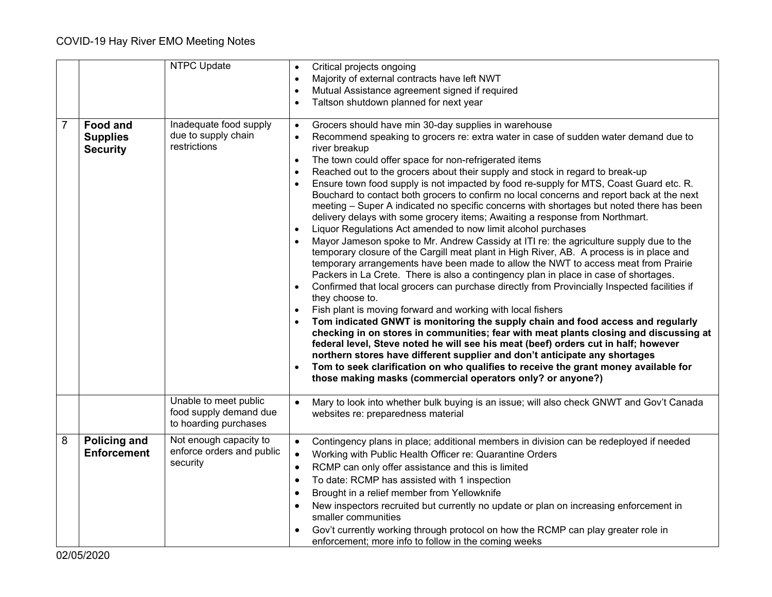|                |                                                       | <b>NTPC Update</b>                                                       | Critical projects ongoing<br>Majority of external contracts have left NWT<br>Mutual Assistance agreement signed if required<br>Taltson shutdown planned for next year<br>$\bullet$                                                                                                                                                                                                                                                                                                                                                                                                                                                                                                                                                                                                                                                                                                                                                                                                                                                                                                                                                                                                                                                                                                                                                                                                                                                                                                                                                                                                                                                                                                                                                                                                                                              |
|----------------|-------------------------------------------------------|--------------------------------------------------------------------------|---------------------------------------------------------------------------------------------------------------------------------------------------------------------------------------------------------------------------------------------------------------------------------------------------------------------------------------------------------------------------------------------------------------------------------------------------------------------------------------------------------------------------------------------------------------------------------------------------------------------------------------------------------------------------------------------------------------------------------------------------------------------------------------------------------------------------------------------------------------------------------------------------------------------------------------------------------------------------------------------------------------------------------------------------------------------------------------------------------------------------------------------------------------------------------------------------------------------------------------------------------------------------------------------------------------------------------------------------------------------------------------------------------------------------------------------------------------------------------------------------------------------------------------------------------------------------------------------------------------------------------------------------------------------------------------------------------------------------------------------------------------------------------------------------------------------------------|
| $\overline{7}$ | <b>Food and</b><br><b>Supplies</b><br><b>Security</b> | Inadequate food supply<br>due to supply chain<br>restrictions            | Grocers should have min 30-day supplies in warehouse<br>$\bullet$<br>Recommend speaking to grocers re: extra water in case of sudden water demand due to<br>river breakup<br>The town could offer space for non-refrigerated items<br>$\bullet$<br>Reached out to the grocers about their supply and stock in regard to break-up<br>Ensure town food supply is not impacted by food re-supply for MTS, Coast Guard etc. R.<br>Bouchard to contact both grocers to confirm no local concerns and report back at the next<br>meeting - Super A indicated no specific concerns with shortages but noted there has been<br>delivery delays with some grocery items; Awaiting a response from Northmart.<br>Liquor Regulations Act amended to now limit alcohol purchases<br>Mayor Jameson spoke to Mr. Andrew Cassidy at ITI re: the agriculture supply due to the<br>temporary closure of the Cargill meat plant in High River, AB. A process is in place and<br>temporary arrangements have been made to allow the NWT to access meat from Prairie<br>Packers in La Crete. There is also a contingency plan in place in case of shortages.<br>Confirmed that local grocers can purchase directly from Provincially Inspected facilities if<br>they choose to.<br>Fish plant is moving forward and working with local fishers<br>Tom indicated GNWT is monitoring the supply chain and food access and regularly<br>checking in on stores in communities; fear with meat plants closing and discussing at<br>federal level, Steve noted he will see his meat (beef) orders cut in half; however<br>northern stores have different supplier and don't anticipate any shortages<br>Tom to seek clarification on who qualifies to receive the grant money available for<br>those making masks (commercial operators only? or anyone?) |
|                |                                                       | Unable to meet public<br>food supply demand due<br>to hoarding purchases | Mary to look into whether bulk buying is an issue; will also check GNWT and Gov't Canada<br>$\bullet$<br>websites re: preparedness material                                                                                                                                                                                                                                                                                                                                                                                                                                                                                                                                                                                                                                                                                                                                                                                                                                                                                                                                                                                                                                                                                                                                                                                                                                                                                                                                                                                                                                                                                                                                                                                                                                                                                     |
| 8              | <b>Policing and</b><br><b>Enforcement</b>             | Not enough capacity to<br>enforce orders and public<br>security          | Contingency plans in place; additional members in division can be redeployed if needed<br>$\bullet$<br>Working with Public Health Officer re: Quarantine Orders<br>$\bullet$<br>RCMP can only offer assistance and this is limited<br>To date: RCMP has assisted with 1 inspection<br>Brought in a relief member from Yellowknife<br>New inspectors recruited but currently no update or plan on increasing enforcement in<br>smaller communities<br>Gov't currently working through protocol on how the RCMP can play greater role in<br>enforcement; more info to follow in the coming weeks                                                                                                                                                                                                                                                                                                                                                                                                                                                                                                                                                                                                                                                                                                                                                                                                                                                                                                                                                                                                                                                                                                                                                                                                                                  |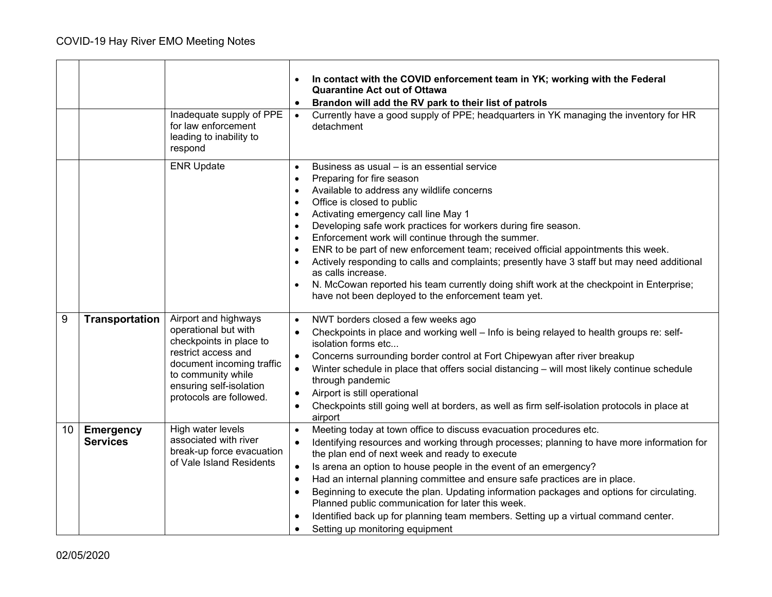|    |                                     | Inadequate supply of PPE<br>for law enforcement<br>leading to inability to<br>respond                                                                                                                   | In contact with the COVID enforcement team in YK; working with the Federal<br><b>Quarantine Act out of Ottawa</b><br>Brandon will add the RV park to their list of patrols<br>$\bullet$<br>Currently have a good supply of PPE; headquarters in YK managing the inventory for HR<br>$\bullet$<br>detachment                                                                                                                                                                                                                                                                                                                                                                                                                           |
|----|-------------------------------------|---------------------------------------------------------------------------------------------------------------------------------------------------------------------------------------------------------|---------------------------------------------------------------------------------------------------------------------------------------------------------------------------------------------------------------------------------------------------------------------------------------------------------------------------------------------------------------------------------------------------------------------------------------------------------------------------------------------------------------------------------------------------------------------------------------------------------------------------------------------------------------------------------------------------------------------------------------|
|    |                                     | <b>ENR Update</b>                                                                                                                                                                                       | Business as usual – is an essential service<br>$\bullet$<br>Preparing for fire season<br>$\bullet$<br>Available to address any wildlife concerns<br>$\bullet$<br>Office is closed to public<br>$\bullet$<br>Activating emergency call line May 1<br>Developing safe work practices for workers during fire season.<br>Enforcement work will continue through the summer.<br>ENR to be part of new enforcement team; received official appointments this week.<br>Actively responding to calls and complaints; presently have 3 staff but may need additional<br>as calls increase.<br>N. McCowan reported his team currently doing shift work at the checkpoint in Enterprise;<br>have not been deployed to the enforcement team yet. |
| 9  | <b>Transportation</b>               | Airport and highways<br>operational but with<br>checkpoints in place to<br>restrict access and<br>document incoming traffic<br>to community while<br>ensuring self-isolation<br>protocols are followed. | NWT borders closed a few weeks ago<br>$\bullet$<br>Checkpoints in place and working well - Info is being relayed to health groups re: self-<br>$\bullet$<br>isolation forms etc<br>Concerns surrounding border control at Fort Chipewyan after river breakup<br>Winter schedule in place that offers social distancing - will most likely continue schedule<br>$\bullet$<br>through pandemic<br>Airport is still operational<br>$\bullet$<br>Checkpoints still going well at borders, as well as firm self-isolation protocols in place at<br>$\bullet$<br>airport                                                                                                                                                                    |
| 10 | <b>Emergency</b><br><b>Services</b> | High water levels<br>associated with river<br>break-up force evacuation<br>of Vale Island Residents                                                                                                     | Meeting today at town office to discuss evacuation procedures etc.<br>$\bullet$<br>Identifying resources and working through processes; planning to have more information for<br>the plan end of next week and ready to execute<br>Is arena an option to house people in the event of an emergency?<br>$\bullet$<br>Had an internal planning committee and ensure safe practices are in place.<br>$\bullet$<br>Beginning to execute the plan. Updating information packages and options for circulating.<br>Planned public communication for later this week.<br>Identified back up for planning team members. Setting up a virtual command center.<br>Setting up monitoring equipment                                                |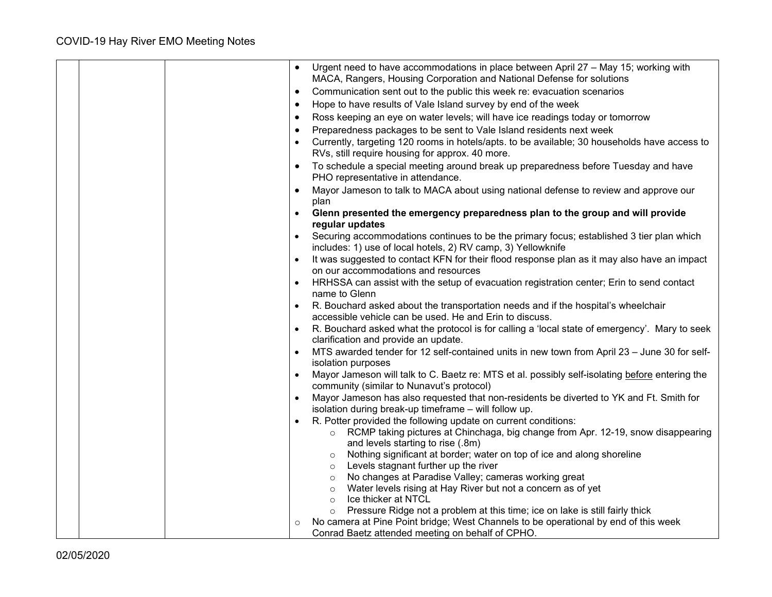| Urgent need to have accommodations in place between April 27 - May 15; working with<br>MACA, Rangers, Housing Corporation and National Defense for solutions |
|--------------------------------------------------------------------------------------------------------------------------------------------------------------|
| Communication sent out to the public this week re: evacuation scenarios<br>$\bullet$                                                                         |
| Hope to have results of Vale Island survey by end of the week<br>$\bullet$                                                                                   |
| Ross keeping an eye on water levels; will have ice readings today or tomorrow<br>$\bullet$                                                                   |
| Preparedness packages to be sent to Vale Island residents next week                                                                                          |
| Currently, targeting 120 rooms in hotels/apts. to be available; 30 households have access to                                                                 |
| RVs, still require housing for approx. 40 more.                                                                                                              |
| To schedule a special meeting around break up preparedness before Tuesday and have<br>$\bullet$<br>PHO representative in attendance.                         |
| Mayor Jameson to talk to MACA about using national defense to review and approve our<br>plan                                                                 |
| Glenn presented the emergency preparedness plan to the group and will provide<br>regular updates                                                             |
| Securing accommodations continues to be the primary focus; established 3 tier plan which<br>includes: 1) use of local hotels, 2) RV camp, 3) Yellowknife     |
| It was suggested to contact KFN for their flood response plan as it may also have an impact<br>$\bullet$<br>on our accommodations and resources              |
| HRHSSA can assist with the setup of evacuation registration center; Erin to send contact<br>$\bullet$<br>name to Glenn                                       |
| R. Bouchard asked about the transportation needs and if the hospital's wheelchair<br>$\bullet$                                                               |
| accessible vehicle can be used. He and Erin to discuss.                                                                                                      |
| R. Bouchard asked what the protocol is for calling a 'local state of emergency'. Mary to seek                                                                |
| clarification and provide an update.                                                                                                                         |
| MTS awarded tender for 12 self-contained units in new town from April 23 - June 30 for self-<br>$\bullet$<br>isolation purposes                              |
| Mayor Jameson will talk to C. Baetz re: MTS et al. possibly self-isolating before entering the<br>$\bullet$<br>community (similar to Nunavut's protocol)     |
| Mayor Jameson has also requested that non-residents be diverted to YK and Ft. Smith for<br>isolation during break-up timeframe - will follow up.             |
| R. Potter provided the following update on current conditions:<br>$\bullet$                                                                                  |
| RCMP taking pictures at Chinchaga, big change from Apr. 12-19, snow disappearing<br>$\circ$                                                                  |
| and levels starting to rise (.8m)                                                                                                                            |
| Nothing significant at border; water on top of ice and along shoreline<br>$\circ$                                                                            |
| Levels stagnant further up the river<br>$\circ$                                                                                                              |
| No changes at Paradise Valley; cameras working great<br>$\circ$                                                                                              |
| Water levels rising at Hay River but not a concern as of yet<br>$\circ$<br>Ice thicker at NTCL<br>$\circ$                                                    |
| Pressure Ridge not a problem at this time; ice on lake is still fairly thick<br>$\circ$                                                                      |
| No camera at Pine Point bridge; West Channels to be operational by end of this week                                                                          |
| Conrad Baetz attended meeting on behalf of CPHO.                                                                                                             |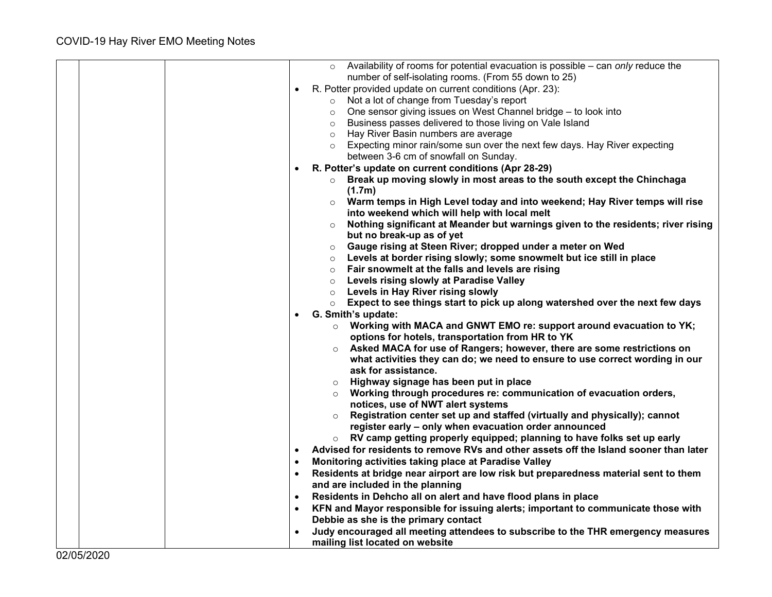|  | $\circ$ Availability of rooms for potential evacuation is possible – can only reduce the                                      |
|--|-------------------------------------------------------------------------------------------------------------------------------|
|  | number of self-isolating rooms. (From 55 down to 25)                                                                          |
|  | R. Potter provided update on current conditions (Apr. 23):<br>$\bullet$                                                       |
|  | Not a lot of change from Tuesday's report<br>$\circ$                                                                          |
|  | o One sensor giving issues on West Channel bridge - to look into                                                              |
|  | Business passes delivered to those living on Vale Island<br>$\circ$                                                           |
|  | Hay River Basin numbers are average<br>$\circ$                                                                                |
|  | Expecting minor rain/some sun over the next few days. Hay River expecting<br>$\circ$<br>between 3-6 cm of snowfall on Sunday. |
|  | R. Potter's update on current conditions (Apr 28-29)<br>$\bullet$                                                             |
|  | Break up moving slowly in most areas to the south except the Chinchaga<br>$\circ$                                             |
|  | (1.7m)                                                                                                                        |
|  | $\circ$ Warm temps in High Level today and into weekend; Hay River temps will rise                                            |
|  | into weekend which will help with local melt                                                                                  |
|  | Nothing significant at Meander but warnings given to the residents; river rising<br>$\circ$                                   |
|  | but no break-up as of yet                                                                                                     |
|  | Gauge rising at Steen River; dropped under a meter on Wed<br>$\circ$                                                          |
|  | o Levels at border rising slowly; some snowmelt but ice still in place                                                        |
|  | Fair snowmelt at the falls and levels are rising<br>$\circ$                                                                   |
|  | <b>Levels rising slowly at Paradise Valley</b><br>$\circ$                                                                     |
|  | Levels in Hay River rising slowly<br>$\circ$                                                                                  |
|  | $\circ$ Expect to see things start to pick up along watershed over the next few days                                          |
|  | G. Smith's update:                                                                                                            |
|  | $\circ$ Working with MACA and GNWT EMO re: support around evacuation to YK;                                                   |
|  | options for hotels, transportation from HR to YK                                                                              |
|  | $\circ$ Asked MACA for use of Rangers; however, there are some restrictions on                                                |
|  | what activities they can do; we need to ensure to use correct wording in our<br>ask for assistance.                           |
|  | $\circ$ Highway signage has been put in place                                                                                 |
|  | $\circ$ Working through procedures re: communication of evacuation orders,                                                    |
|  | notices, use of NWT alert systems                                                                                             |
|  | ○ Registration center set up and staffed (virtually and physically); cannot                                                   |
|  | register early - only when evacuation order announced                                                                         |
|  | RV camp getting properly equipped; planning to have folks set up early<br>$\circ$                                             |
|  | Advised for residents to remove RVs and other assets off the Island sooner than later<br>$\bullet$                            |
|  | Monitoring activities taking place at Paradise Valley<br>$\bullet$                                                            |
|  | Residents at bridge near airport are low risk but preparedness material sent to them<br>$\bullet$                             |
|  | and are included in the planning                                                                                              |
|  | Residents in Dehcho all on alert and have flood plans in place<br>$\bullet$                                                   |
|  | KFN and Mayor responsible for issuing alerts; important to communicate those with<br>$\bullet$                                |
|  | Debbie as she is the primary contact                                                                                          |
|  | Judy encouraged all meeting attendees to subscribe to the THR emergency measures                                              |
|  | mailing list located on website                                                                                               |